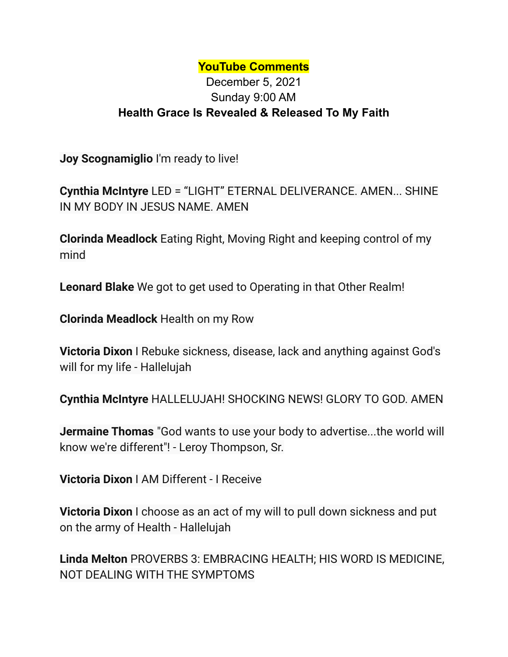## **YouTube Comments**

## December 5, 2021 Sunday 9:00 AM **Health Grace Is Revealed & Released To My Faith**

**Joy Scognamiglio** I'm ready to live!

**Cynthia McIntyre** LED = "LIGHT" ETERNAL DELIVERANCE. AMEN... SHINE IN MY BODY IN JESUS NAME. AMEN

**Clorinda Meadlock** Eating Right, Moving Right and keeping control of my mind

**Leonard Blake** We got to get used to Operating in that Other Realm!

**Clorinda Meadlock** Health on my Row

**Victoria Dixon** I Rebuke sickness, disease, lack and anything against God's will for my life - Hallelujah

**Cynthia McIntyre** HALLELUJAH! SHOCKING NEWS! GLORY TO GOD. AMEN

**Jermaine Thomas** "God wants to use your body to advertise...the world will know we're different"! - Leroy Thompson, Sr.

**Victoria Dixon** I AM Different - I Receive

**Victoria Dixon** I choose as an act of my will to pull down sickness and put on the army of Health - Hallelujah

**Linda Melton** PROVERBS 3: EMBRACING HEALTH; HIS WORD IS MEDICINE, NOT DEALING WITH THE SYMPTOMS